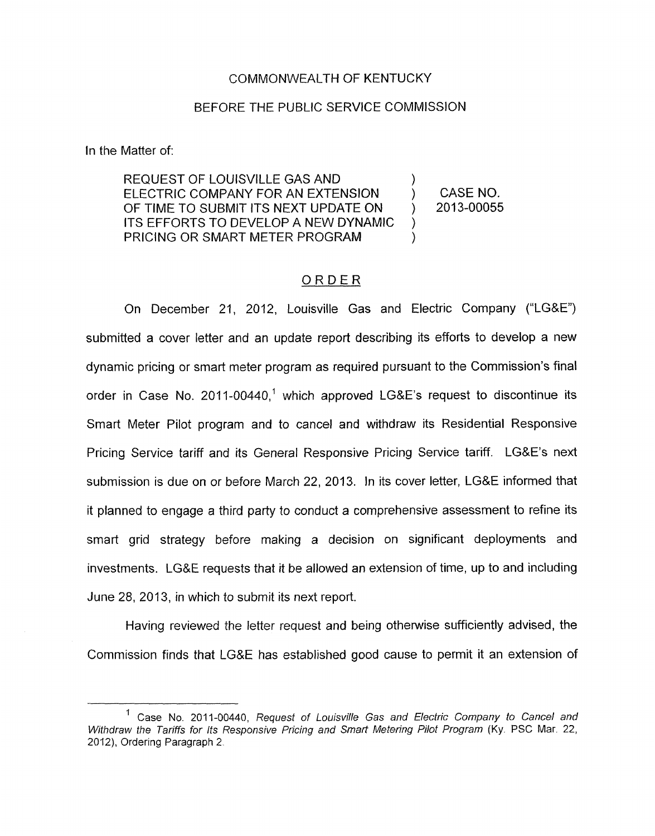## COMMONWEALTH OF KENTUCKY

## BEFORE THE PUBLIC SERVICE COMMISSION

In the Matter of:

REQUEST OF LOUISVILLE GAS AND ELECTRIC COMPANY FOR AN EXTENSION (CASE NO. OF TIME TO SUBMIT ITS NEXT UPDATE ON  $\longrightarrow$  2013-00055 ITS EFFORTS TO DEVELOP A NEW DYNAMIC PRICING OR SMART METER PROGRAM

 $\sum_{i=1}^{n}$ 

)

## ORDER

On December 21, 2012, Louisville Gas and Electric Company ("LG&E") submitted a cover letter and an update report describing its efforts to develop a new dynamic pricing or smart meter program as required pursuant to the Commission's final order in Case No.  $2011-00440$ ,<sup>1</sup> which approved LG&E's request to discontinue its Smart Meter Pilot program and to cancel and withdraw its Residential Responsive Pricing Service tariff and its General Responsive Pricing Service tariff. LG&E's next submission is due on or before March 22, 2013. In its cover letter, LG&E informed that it planned to engage a third party *to* conduct a comprehensive assessment to refine its smart grid strategy before making a decision on significant deployments and investments. LG&E requests that it be allowed an extension of time, up to and including June 28, 2013, in which to submit its next report.

Having reviewed the letter request and being otherwise sufficiently advised, the Commission finds that LG&E has established good cause to permit it an extension of

<sup>&#</sup>x27; Case No. 2011-00440, *Request of Louisville Gas and Electric Company to Cancel and Withdraw the Tariffs for Its Responsive Pricing and Smart Metering Pilot Program (Ky. PSC Mar. 22,* 2012), Ordering Paragraph 2.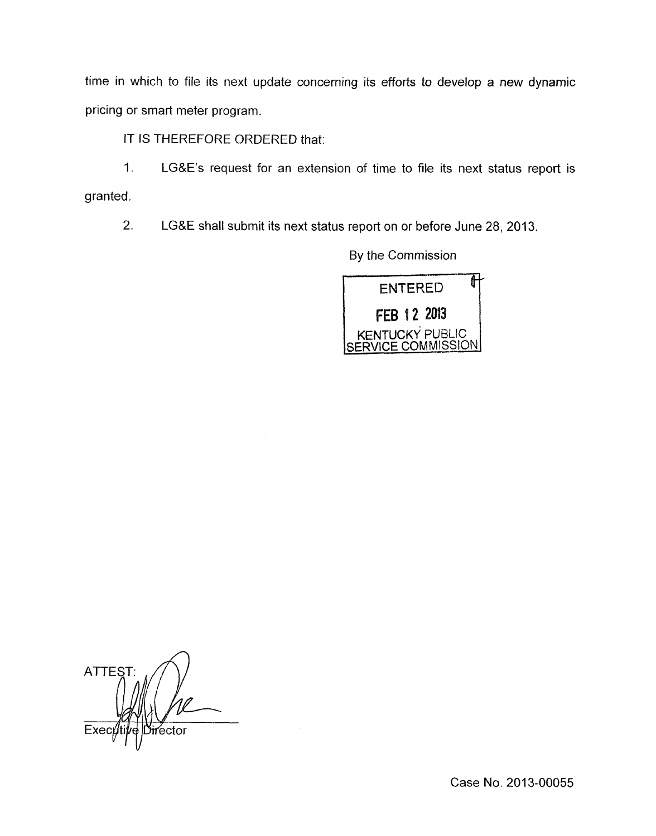time in which to file its next update concerning its efforts to develop a new dynamic pricing or smart meter program.

IT IS THEREFORE ORDERED that:

1. LG&E's request for an extension of time to file its next status report is granted.

2. LG&E shall submit its next status report on or before June 28, 2013.

**ENTERED** FEB 12 2013 **KENTUCKY PUBLIC CE COMMISSION** 

**ATTEST** Exec rector

Case No. 2013-00055

By the Commission